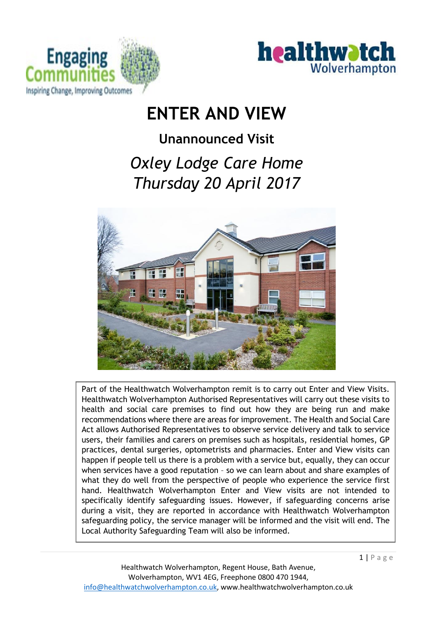



 $1 | P$  a g e

# **ENTER AND VIEW**

# **Unannounced Visit**

# *Oxley Lodge Care Home Thursday 20 April 2017*



Part of the Healthwatch Wolverhampton remit is to carry out Enter and View Visits. Healthwatch Wolverhampton Authorised Representatives will carry out these visits to health and social care premises to find out how they are being run and make recommendations where there are areas for improvement. The Health and Social Care Act allows Authorised Representatives to observe service delivery and talk to service users, their families and carers on premises such as hospitals, residential homes, GP practices, dental surgeries, optometrists and pharmacies. Enter and View visits can happen if people tell us there is a problem with a service but, equally, they can occur when services have a good reputation – so we can learn about and share examples of what they do well from the perspective of people who experience the service first hand. Healthwatch Wolverhampton Enter and View visits are not intended to specifically identify safeguarding issues. However, if safeguarding concerns arise during a visit, they are reported in accordance with Healthwatch Wolverhampton safeguarding policy, the service manager will be informed and the visit will end. The Local Authority Safeguarding Team will also be informed.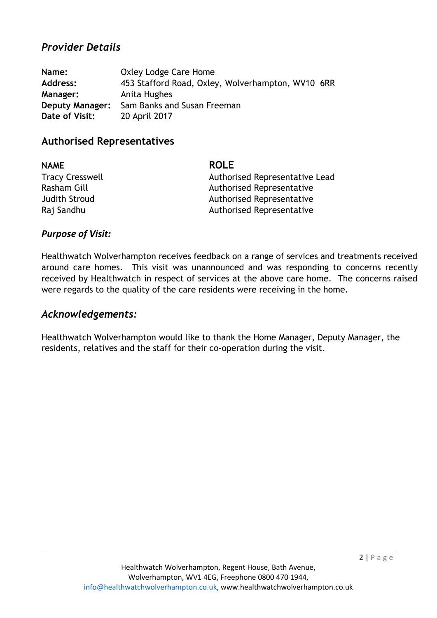#### *Provider Details*

| Name:                  | Oxley Lodge Care Home                             |  |
|------------------------|---------------------------------------------------|--|
| <b>Address:</b>        | 453 Stafford Road, Oxley, Wolverhampton, WV10 6RR |  |
| <b>Manager:</b>        | Anita Hughes                                      |  |
| <b>Deputy Manager:</b> | Sam Banks and Susan Freeman                       |  |
| Date of Visit:         | 20 April 2017                                     |  |

#### **Authorised Representatives**

| <b>NAME</b>            | <b>ROLE</b>                    |
|------------------------|--------------------------------|
| <b>Tracy Cresswell</b> | Authorised Representative Lead |
| Rasham Gill            | Authorised Representative      |
| <b>Judith Stroud</b>   | Authorised Representative      |
| Raj Sandhu             | Authorised Representative      |

#### *Purpose of Visit:*

Healthwatch Wolverhampton receives feedback on a range of services and treatments received around care homes. This visit was unannounced and was responding to concerns recently received by Healthwatch in respect of services at the above care home. The concerns raised were regards to the quality of the care residents were receiving in the home.

#### *Acknowledgements:*

Healthwatch Wolverhampton would like to thank the Home Manager, Deputy Manager, the residents, relatives and the staff for their co-operation during the visit.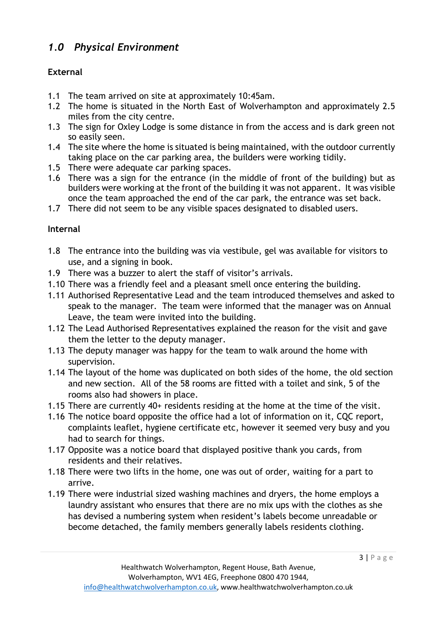## *1.0 Physical Environment*

#### **External**

- 1.1 The team arrived on site at approximately 10:45am.
- 1.2 The home is situated in the North East of Wolverhampton and approximately 2.5 miles from the city centre.
- 1.3 The sign for Oxley Lodge is some distance in from the access and is dark green not so easily seen.
- 1.4 The site where the home is situated is being maintained, with the outdoor currently taking place on the car parking area, the builders were working tidily.
- 1.5 There were adequate car parking spaces.
- 1.6 There was a sign for the entrance (in the middle of front of the building) but as builders were working at the front of the building it was not apparent. It was visible once the team approached the end of the car park, the entrance was set back.
- 1.7 There did not seem to be any visible spaces designated to disabled users.

#### **Internal**

- 1.8 The entrance into the building was via vestibule, gel was available for visitors to use, and a signing in book.
- 1.9 There was a buzzer to alert the staff of visitor's arrivals.
- 1.10 There was a friendly feel and a pleasant smell once entering the building.
- 1.11 Authorised Representative Lead and the team introduced themselves and asked to speak to the manager. The team were informed that the manager was on Annual Leave, the team were invited into the building.
- 1.12 The Lead Authorised Representatives explained the reason for the visit and gave them the letter to the deputy manager.
- 1.13 The deputy manager was happy for the team to walk around the home with supervision.
- 1.14 The layout of the home was duplicated on both sides of the home, the old section and new section. All of the 58 rooms are fitted with a toilet and sink, 5 of the rooms also had showers in place.
- 1.15 There are currently 40+ residents residing at the home at the time of the visit.
- 1.16 The notice board opposite the office had a lot of information on it, CQC report, complaints leaflet, hygiene certificate etc, however it seemed very busy and you had to search for things.
- 1.17 Opposite was a notice board that displayed positive thank you cards, from residents and their relatives.
- 1.18 There were two lifts in the home, one was out of order, waiting for a part to arrive.
- 1.19 There were industrial sized washing machines and dryers, the home employs a laundry assistant who ensures that there are no mix ups with the clothes as she has devised a numbering system when resident's labels become unreadable or become detached, the family members generally labels residents clothing.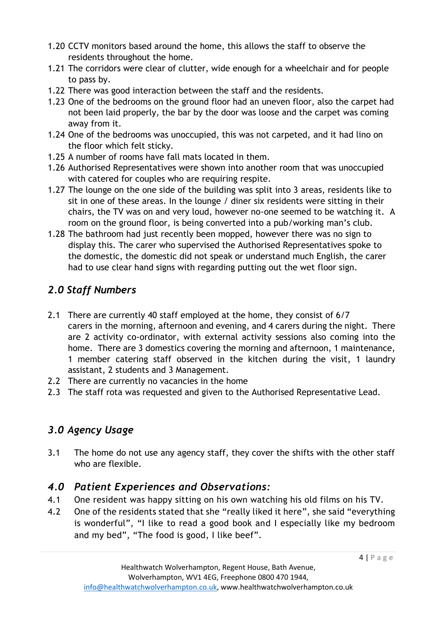- 1.20 CCTV monitors based around the home, this allows the staff to observe the residents throughout the home.
- 1.21 The corridors were clear of clutter, wide enough for a wheelchair and for people to pass by.
- 1.22 There was good interaction between the staff and the residents.
- 1.23 One of the bedrooms on the ground floor had an uneven floor, also the carpet had not been laid properly, the bar by the door was loose and the carpet was coming away from it.
- 1.24 One of the bedrooms was unoccupied, this was not carpeted, and it had lino on the floor which felt sticky.
- 1.25 A number of rooms have fall mats located in them.
- 1.26 Authorised Representatives were shown into another room that was unoccupied with catered for couples who are requiring respite.
- 1.27 The lounge on the one side of the building was split into 3 areas, residents like to sit in one of these areas. In the lounge / diner six residents were sitting in their chairs, the TV was on and very loud, however no-one seemed to be watching it. A room on the ground floor, is being converted into a pub/working man's club.
- 1.28 The bathroom had just recently been mopped, however there was no sign to display this. The carer who supervised the Authorised Representatives spoke to the domestic, the domestic did not speak or understand much English, the carer had to use clear hand signs with regarding putting out the wet floor sign.

## *2.0 Staff Numbers*

- 2.1 There are currently 40 staff employed at the home, they consist of 6/7 carers in the morning, afternoon and evening, and 4 carers during the night. There are 2 activity co-ordinator, with external activity sessions also coming into the home. There are 3 domestics covering the morning and afternoon, 1 maintenance, 1 member catering staff observed in the kitchen during the visit, 1 laundry assistant, 2 students and 3 Management.
- 2.2 There are currently no vacancies in the home
- 2.3 The staff rota was requested and given to the Authorised Representative Lead.

# *3.0 Agency Usage*

3.1 The home do not use any agency staff, they cover the shifts with the other staff who are flexible.

## *4.0 Patient Experiences and Observations:*

- 4.1 One resident was happy sitting on his own watching his old films on his TV.
- 4.2 One of the residents stated that she "really liked it here", she said "everything is wonderful", "I like to read a good book and I especially like my bedroom and my bed", "The food is good, I like beef".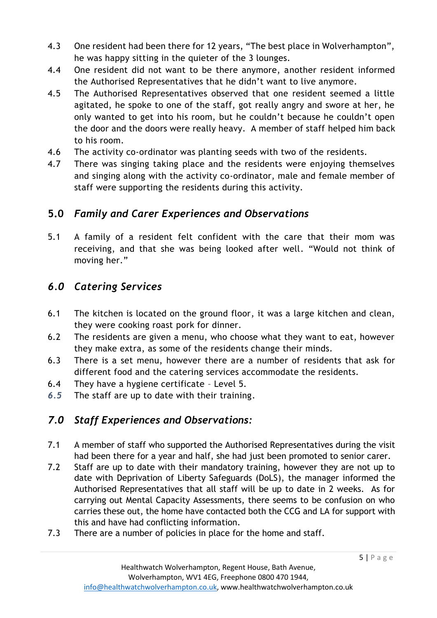- 4.3 One resident had been there for 12 years, "The best place in Wolverhampton", he was happy sitting in the quieter of the 3 lounges.
- 4.4 One resident did not want to be there anymore, another resident informed the Authorised Representatives that he didn't want to live anymore.
- 4.5 The Authorised Representatives observed that one resident seemed a little agitated, he spoke to one of the staff, got really angry and swore at her, he only wanted to get into his room, but he couldn't because he couldn't open the door and the doors were really heavy. A member of staff helped him back to his room.
- 4.6 The activity co-ordinator was planting seeds with two of the residents.
- 4.7 There was singing taking place and the residents were enjoying themselves and singing along with the activity co-ordinator, male and female member of staff were supporting the residents during this activity.

## **5.0** *Family and Carer Experiences and Observations*

5.1 A family of a resident felt confident with the care that their mom was receiving, and that she was being looked after well. "Would not think of moving her."

# *6.0 Catering Services*

- 6.1 The kitchen is located on the ground floor, it was a large kitchen and clean, they were cooking roast pork for dinner.
- 6.2 The residents are given a menu, who choose what they want to eat, however they make extra, as some of the residents change their minds.
- 6.3 There is a set menu, however there are a number of residents that ask for different food and the catering services accommodate the residents.
- 6.4 They have a hygiene certificate Level 5.
- *6.5* The staff are up to date with their training.

# *7.0 Staff Experiences and Observations:*

- 7.1 A member of staff who supported the Authorised Representatives during the visit had been there for a year and half, she had just been promoted to senior carer.
- 7.2 Staff are up to date with their mandatory training, however they are not up to date with Deprivation of Liberty Safeguards (DoLS), the manager informed the Authorised Representatives that all staff will be up to date in 2 weeks. As for carrying out Mental Capacity Assessments, there seems to be confusion on who carries these out, the home have contacted both the CCG and LA for support with this and have had conflicting information.
- 7.3 There are a number of policies in place for the home and staff.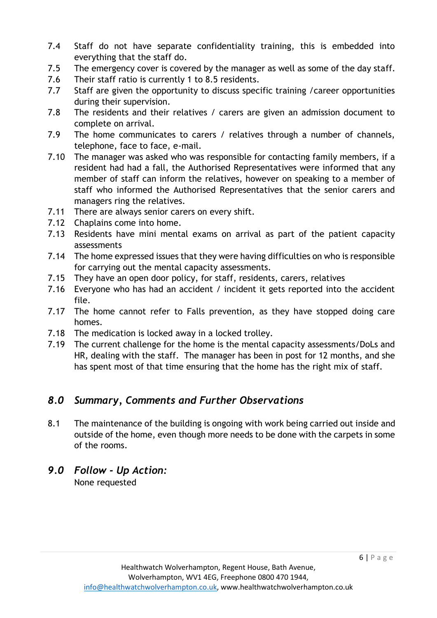- 7.4 Staff do not have separate confidentiality training, this is embedded into everything that the staff do.
- 7.5 The emergency cover is covered by the manager as well as some of the day staff.
- 7.6 Their staff ratio is currently 1 to 8.5 residents.
- 7.7 Staff are given the opportunity to discuss specific training / career opportunities during their supervision.
- 7.8 The residents and their relatives / carers are given an admission document to complete on arrival.
- 7.9 The home communicates to carers / relatives through a number of channels, telephone, face to face, e-mail.
- 7.10 The manager was asked who was responsible for contacting family members, if a resident had had a fall, the Authorised Representatives were informed that any member of staff can inform the relatives, however on speaking to a member of staff who informed the Authorised Representatives that the senior carers and managers ring the relatives.
- 7.11 There are always senior carers on every shift.
- 7.12 Chaplains come into home.
- 7.13 Residents have mini mental exams on arrival as part of the patient capacity assessments
- 7.14 The home expressed issues that they were having difficulties on who is responsible for carrying out the mental capacity assessments.
- 7.15 They have an open door policy, for staff, residents, carers, relatives
- 7.16 Everyone who has had an accident / incident it gets reported into the accident file.
- 7.17 The home cannot refer to Falls prevention, as they have stopped doing care homes.
- 7.18 The medication is locked away in a locked trolley.
- 7.19 The current challenge for the home is the mental capacity assessments/DoLs and HR, dealing with the staff. The manager has been in post for 12 months, and she has spent most of that time ensuring that the home has the right mix of staff.

### *8.0 Summary, Comments and Further Observations*

- 8.1 The maintenance of the building is ongoing with work being carried out inside and outside of the home, even though more needs to be done with the carpets in some of the rooms.
- *9.0 Follow - Up Action:* None requested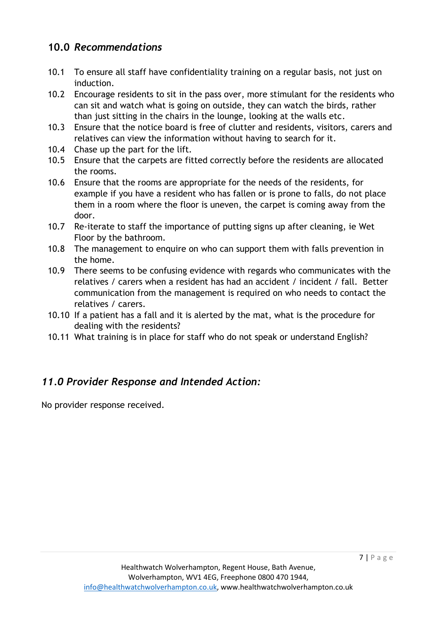### **10.0** *Recommendations*

- 10.1 To ensure all staff have confidentiality training on a regular basis, not just on induction.
- 10.2 Encourage residents to sit in the pass over, more stimulant for the residents who can sit and watch what is going on outside, they can watch the birds, rather than just sitting in the chairs in the lounge, looking at the walls etc.
- 10.3 Ensure that the notice board is free of clutter and residents, visitors, carers and relatives can view the information without having to search for it.
- 10.4 Chase up the part for the lift.
- 10.5 Ensure that the carpets are fitted correctly before the residents are allocated the rooms.
- 10.6 Ensure that the rooms are appropriate for the needs of the residents, for example if you have a resident who has fallen or is prone to falls, do not place them in a room where the floor is uneven, the carpet is coming away from the door.
- 10.7 Re-iterate to staff the importance of putting signs up after cleaning, ie Wet Floor by the bathroom.
- 10.8 The management to enquire on who can support them with falls prevention in the home.
- 10.9 There seems to be confusing evidence with regards who communicates with the relatives / carers when a resident has had an accident / incident / fall. Better communication from the management is required on who needs to contact the relatives / carers.
- 10.10 If a patient has a fall and it is alerted by the mat, what is the procedure for dealing with the residents?
- 10.11 What training is in place for staff who do not speak or understand English?

### *11.0 Provider Response and Intended Action:*

No provider response received.